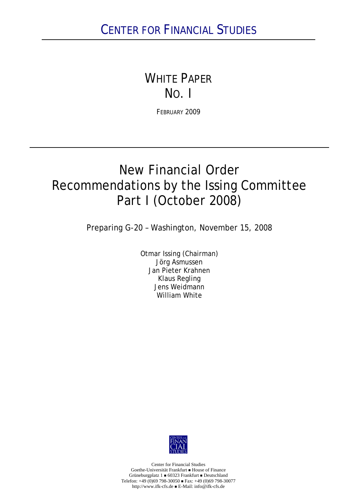# WHITE PAPER NO. I

FEBRUARY 2009

# New Financial Order Recommendations by the Issing Committee Part I (October 2008)

Preparing G-20 – Washington, November 15, 2008

Otmar Issing (Chairman) Jörg Asmussen Jan Pieter Krahnen Klaus Regling Jens Weidmann William White



Center for Financial Studies Goethe-Universität Frankfurt House of Finance Grüneburgplatz 1 60323 Frankfurt Deutschland Telefon:  $+49$  (0)69 798-30050 **Fax:**  $+49$  (0)69 798-30077 http://www.ifk-cfs.de E-Mail: info@ifk-cfs.de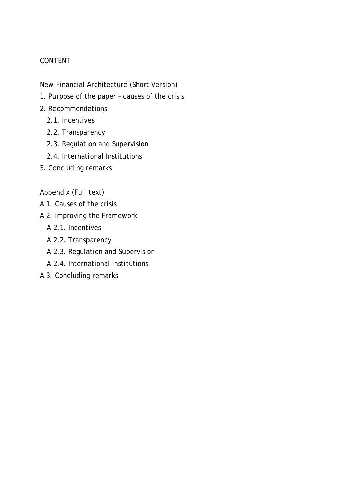# CONTENT

# New Financial Architecture (Short Version)

- 1. Purpose of the paper causes of the crisis
- 2. Recommendations
	- 2.1. Incentives
	- 2.2. Transparency
	- 2.3. Regulation and Supervision
	- 2.4. International Institutions
- 3. Concluding remarks

# Appendix (Full text)

- A 1. Causes of the crisis
- A 2. Improving the Framework
	- A 2.1. Incentives
	- A 2.2. Transparency
	- A 2.3. Regulation and Supervision
	- A 2.4. International Institutions
- A 3. Concluding remarks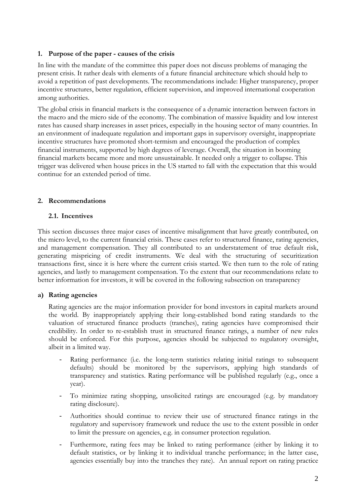#### **1. Purpose of the paper - causes of the crisis**

In line with the mandate of the committee this paper does not discuss problems of managing the present crisis. It rather deals with elements of a future financial architecture which should help to avoid a repetition of past developments. The recommendations include: Higher transparency, proper incentive structures, better regulation, efficient supervision, and improved international cooperation among authorities.

The global crisis in financial markets is the consequence of a dynamic interaction between factors in the macro and the micro side of the economy. The combination of massive liquidity and low interest rates has caused sharp increases in asset prices, especially in the housing sector of many countries. In an environment of inadequate regulation and important gaps in supervisory oversight, inappropriate incentive structures have promoted short-termism and encouraged the production of complex financial instruments, supported by high degrees of leverage. Overall, the situation in booming financial markets became more and more unsustainable. It needed only a trigger to collapse. This trigger was delivered when house prices in the US started to fall with the expectation that this would continue for an extended period of time.

#### **2. Recommendations**

#### **2.1. Incentives**

This section discusses three major cases of incentive misalignment that have greatly contributed, on the micro level, to the current financial crisis. These cases refer to structured finance, rating agencies, and management compensation. They all contributed to an understatement of true default risk, generating mispricing of credit instruments. We deal with the structuring of securitization transactions first, since it is here where the current crisis started. We then turn to the role of rating agencies, and lastly to management compensation. To the extent that our recommendations relate to better information for investors, it will be covered in the following subsection on transparency

#### **a) Rating agencies**

Rating agencies are the major information provider for bond investors in capital markets around the world. By inappropriately applying their long-established bond rating standards to the valuation of structured finance products (tranches), rating agencies have compromised their credibility. In order to re-establish trust in structured finance ratings, a number of new rules should be enforced. For this purpose, agencies should be subjected to regulatory oversight, albeit in a limited way.

- Rating performance (i.e. the long-term statistics relating initial ratings to subsequent defaults) should be monitored by the supervisors, applying high standards of transparency and statistics. Rating performance will be published regularly (e.g., once a year).
- To minimize rating shopping, unsolicited ratings are encouraged (e.g. by mandatory rating disclosure).
- Authorities should continue to review their use of structured finance ratings in the regulatory and supervisory framework und reduce the use to the extent possible in order to limit the pressure on agencies, e.g. in consumer protection regulation.
- Furthermore, rating fees may be linked to rating performance (either by linking it to default statistics, or by linking it to individual tranche performance; in the latter case, agencies essentially buy into the tranches they rate). An annual report on rating practice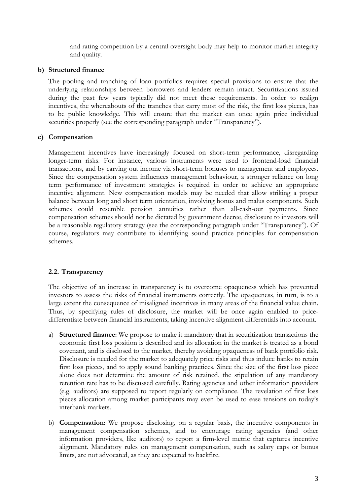and rating competition by a central oversight body may help to monitor market integrity and quality.

#### **b) Structured finance**

The pooling and tranching of loan portfolios requires special provisions to ensure that the underlying relationships between borrowers and lenders remain intact. Securitizations issued during the past few years typically did not meet these requirements. In order to realign incentives, the whereabouts of the tranches that carry most of the risk, the first loss pieces, has to be public knowledge. This will ensure that the market can once again price individual securities properly (see the corresponding paragraph under "Transparency").

#### **c) Compensation**

Management incentives have increasingly focused on short-term performance, disregarding longer-term risks. For instance, various instruments were used to frontend-load financial transactions, and by carving out income via short-term bonuses to management and employees. Since the compensation system influences management behaviour, a stronger reliance on long term performance of investment strategies is required in order to achieve an appropriate incentive alignment. New compensation models may be needed that allow striking a proper balance between long and short term orientation, involving bonus and malus components. Such schemes could resemble pension annuities rather than all-cash-out payments. Since compensation schemes should not be dictated by government decree, disclosure to investors will be a reasonable regulatory strategy (see the corresponding paragraph under "Transparency"). Of course, regulators may contribute to identifying sound practice principles for compensation schemes.

# **2.2. Transparency**

The objective of an increase in transparency is to overcome opaqueness which has prevented investors to assess the risks of financial instruments correctly. The opaqueness, in turn, is to a large extent the consequence of misaligned incentives in many areas of the financial value chain. Thus, by specifying rules of disclosure, the market will be once again enabled to pricedifferentiate between financial instruments, taking incentive alignment differentials into account.

- a) **Structured finance**: We propose to make it mandatory that in securitization transactions the economic first loss position is described and its allocation in the market is treated as a bond covenant, and is disclosed to the market, thereby avoiding opaqueness of bank portfolio risk. Disclosure is needed for the market to adequately price risks and thus induce banks to retain first loss pieces, and to apply sound banking practices. Since the size of the first loss piece alone does not determine the amount of risk retained, the stipulation of any mandatory retention rate has to be discussed carefully. Rating agencies and other information providers (e.g. auditors) are supposed to report regularly on compliance. The revelation of first loss pieces allocation among market participants may even be used to ease tensions on today's interbank markets.
- b) **Compensation**: We propose disclosing, on a regular basis, the incentive components in management compensation schemes, and to encourage rating agencies (and other information providers, like auditors) to report a firm-level metric that captures incentive alignment. Mandatory rules on management compensation, such as salary caps or bonus limits, are not advocated, as they are expected to backfire.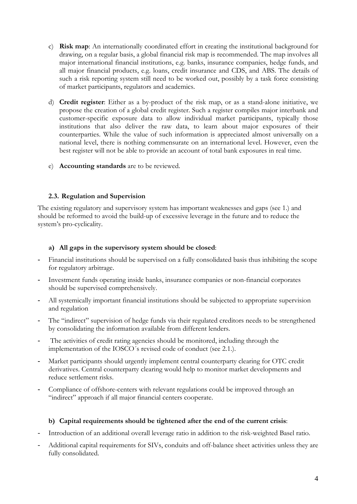- c) **Risk map**: An internationally coordinated effort in creating the institutional background for drawing, on a regular basis, a global financial risk map is recommended. The map involves all major international financial institutions, e.g. banks, insurance companies, hedge funds, and all major financial products, e.g. loans, credit insurance and CDS, and ABS. The details of such a risk reporting system still need to be worked out, possibly by a task force consisting of market participants, regulators and academics.
- d) **Credit register**: Either as a by-product of the risk map, or as a stand-alone initiative, we propose the creation of a global credit register. Such a register compiles major interbank and customer-specific exposure data to allow individual market participants, typically those institutions that also deliver the raw data, to learn about major exposures of their counterparties. While the value of such information is appreciated almost universally on a national level, there is nothing commensurate on an international level. However, even the best register will not be able to provide an account of total bank exposures in real time.
- e) **Accounting standards** are to be reviewed.

# **2.3. Regulation and Supervision**

The existing regulatory and supervisory system has important weaknesses and gaps (see 1.) and should be reformed to avoid the build-up of excessive leverage in the future and to reduce the system's pro-cyclicality.

#### **a) All gaps in the supervisory system should be closed**:

- **-** Financial institutions should be supervised on a fully consolidated basis thus inhibiting the scope for regulatory arbitrage.
- **-** Investment funds operating inside banks, insurance companies or non-financial corporates should be supervised comprehensively.
- **-** All systemically important financial institutions should be subjected to appropriate supervision and regulation
- **-** The "indirect" supervision of hedge funds via their regulated creditors needs to be strengthened by consolidating the information available from different lenders.
- **-** The activities of credit rating agencies should be monitored, including through the implementation of the IOSCO´s revised code of conduct (see 2.1.).
- **-** Market participants should urgently implement central counterparty clearing for OTC credit derivatives. Central counterparty clearing would help to monitor market developments and reduce settlement risks.
- **-** Compliance of offshore-centers with relevant regulations could be improved through an "indirect" approach if all major financial centers cooperate.

# **b) Capital requirements should be tightened after the end of the current crisis**:

- Introduction of an additional overall leverage ratio in addition to the risk-weighted Basel ratio.
- Additional capital requirements for SIVs, conduits and off-balance sheet activities unless they are fully consolidated.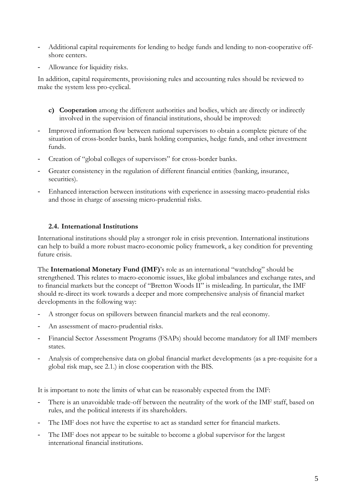- Additional capital requirements for lending to hedge funds and lending to non-cooperative offshore centers.
- Allowance for liquidity risks.

In addition, capital requirements, provisioning rules and accounting rules should be reviewed to make the system less pro-cyclical.

- **c) Cooperation** among the different authorities and bodies, which are directly or indirectly involved in the supervision of financial institutions, should be improved:
- Improved information flow between national supervisors to obtain a complete picture of the situation of cross-border banks, bank holding companies, hedge funds, and other investment funds.
- Creation of "global colleges of supervisors" for cross-border banks.
- Greater consistency in the regulation of different financial entities (banking, insurance, securities).
- Enhanced interaction between institutions with experience in assessing macro-prudential risks and those in charge of assessing micro-prudential risks.

#### **2.4. International Institutions**

International institutions should play a stronger role in crisis prevention. International institutions can help to build a more robust macro-economic policy framework, a key condition for preventing future crisis.

The **International Monetary Fund (IMF)**'s role as an international "watchdog" should be strengthened. This relates to macro-economic issues, like global imbalances and exchange rates, and to financial markets but the concept of "Bretton Woods II" is misleading. In particular, the IMF should re-direct its work towards a deeper and more comprehensive analysis of financial market developments in the following way:

- A stronger focus on spillovers between financial markets and the real economy.
- An assessment of macro-prudential risks.
- Financial Sector Assessment Programs (FSAPs) should become mandatory for all IMF members states.
- Analysis of comprehensive data on global financial market developments (as a pre-requisite for a global risk map, see 2.1.) in close cooperation with the BIS.

It is important to note the limits of what can be reasonably expected from the IMF:

- There is an unavoidable trade-off between the neutrality of the work of the IMF staff, based on rules, and the political interests if its shareholders.
- The IMF does not have the expertise to act as standard setter for financial markets.
- The IMF does not appear to be suitable to become a global supervisor for the largest international financial institutions.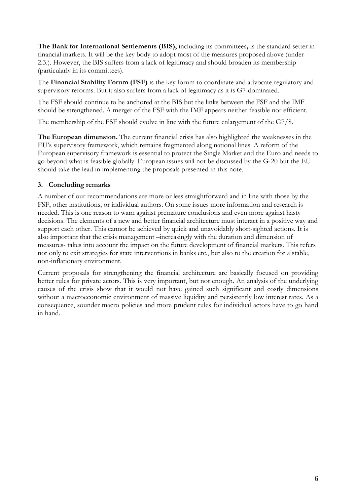**The Bank for International Settlements (BIS),** including its committees**,** is the standard setter in financial markets. It will be the key body to adopt most of the measures proposed above (under 2.3.). However, the BIS suffers from a lack of legitimacy and should broaden its membership (particularly in its committees).

The **Financial Stability Forum (FSF)** is the key forum to coordinate and advocate regulatory and supervisory reforms. But it also suffers from a lack of legitimacy as it is G7-dominated.

The FSF should continue to be anchored at the BIS but the links between the FSF and the IMF should be strengthened. A merger of the FSF with the IMF appears neither feasible nor efficient.

The membership of the FSF should evolve in line with the future enlargement of the G7/8.

**The European dimension.** The current financial crisis has also highlighted the weaknesses in the EU's supervisory framework, which remains fragmented along national lines. A reform of the European supervisory framework is essential to protect the Single Market and the Euro and needs to go beyond what is feasible globally. European issues will not be discussed by the G-20 but the EU should take the lead in implementing the proposals presented in this note.

#### **3. Concluding remarks**

A number of our recommendations are more or less straightforward and in line with those by the FSF, other institutions, or individual authors. On some issues more information and research is needed. This is one reason to warn against premature conclusions and even more against hasty decisions. The elements of a new and better financial architecture must interact in a positive way and support each other. This cannot be achieved by quick and unavoidably short-sighted actions. It is also important that the crisis management –increasingly with the duration and dimension of measures- takes into account the impact on the future development of financial markets. This refers not only to exit strategies for state interventions in banks etc., but also to the creation for a stable, non-inflationary environment.

Current proposals for strengthening the financial architecture are basically focused on providing better rules for private actors. This is very important, but not enough. An analysis of the underlying causes of the crisis show that it would not have gained such significant and costly dimensions without a macroeconomic environment of massive liquidity and persistently low interest rates. As a consequence, sounder macro policies and more prudent rules for individual actors have to go hand in hand.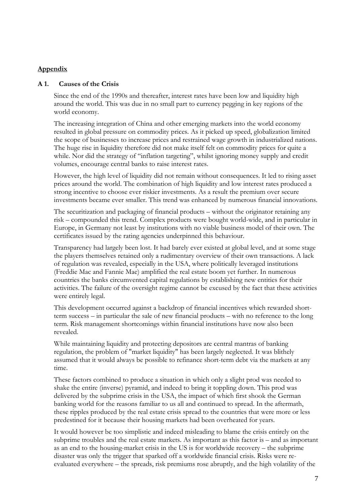#### **Appendix**

#### **A 1. Causes of the Crisis**

Since the end of the 1990s and thereafter, interest rates have been low and liquidity high around the world. This was due in no small part to currency pegging in key regions of the world economy.

The increasing integration of China and other emerging markets into the world economy resulted in global pressure on commodity prices. As it picked up speed, globalization limited the scope of businesses to increase prices and restrained wage growth in industrialized nations. The huge rise in liquidity therefore did not make itself felt on commodity prices for quite a while. Nor did the strategy of "inflation targeting", whilst ignoring money supply and credit volumes, encourage central banks to raise interest rates.

However, the high level of liquidity did not remain without consequences. It led to rising asset prices around the world. The combination of high liquidity and low interest rates produced a strong incentive to choose ever riskier investments. As a result the premium over secure investments became ever smaller. This trend was enhanced by numerous financial innovations.

The securitization and packaging of financial products – without the originator retaining any risk – compounded this trend. Complex products were bought world-wide, and in particular in Europe, in Germany not least by institutions with no viable business model of their own. The certificates issued by the rating agencies underpinned this behaviour.

Transparency had largely been lost. It had barely ever existed at global level, and at some stage the players themselves retained only a rudimentary overview of their own transactions. A lack of regulation was revealed, especially in the USA, where politically leveraged institutions (Freddie Mac and Fannie Mae) amplified the real estate boom yet further. In numerous countries the banks circumvented capital regulations by establishing new entities for their activities. The failure of the oversight regime cannot be excused by the fact that these activities were entirely legal.

This development occurred against a backdrop of financial incentives which rewarded shortterm success – in particular the sale of new financial products – with no reference to the long term. Risk management shortcomings within financial institutions have now also been revealed.

While maintaining liquidity and protecting depositors are central mantras of banking regulation, the problem of "market liquidity" has been largely neglected. It was blithely assumed that it would always be possible to refinance short-term debt via the markets at any time.

These factors combined to produce a situation in which only a slight prod was needed to shake the entire (inverse) pyramid, and indeed to bring it toppling down. This prod was delivered by the subprime crisis in the USA, the impact of which first shook the German banking world for the reasons familiar to us all and continued to spread. In the aftermath, these ripples produced by the real estate crisis spread to the countries that were more or less predestined for it because their housing markets had been overheated for years.

It would however be too simplistic and indeed misleading to blame the crisis entirely on the subprime troubles and the real estate markets. As important as this factor is – and as important as an end to the housing-market crisis in the US is for worldwide recovery – the subprime disaster was only the trigger that sparked off a worldwide financial crisis. Risks were reevaluated everywhere – the spreads, risk premiums rose abruptly, and the high volatility of the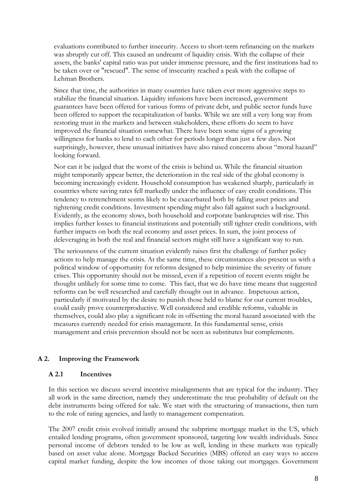evaluations contributed to further insecurity. Access to short-term refinancing on the markets was abruptly cut off. This caused an undreamt of liquidity crisis. With the collapse of their assets, the banks' capital ratio was put under immense pressure, and the first institutions had to be taken over or "rescued". The sense of insecurity reached a peak with the collapse of Lehman Brothers.

Since that time, the authorities in many countries have taken ever more aggressive steps to stabilize the financial situation. Liquidity infusions have been increased, government guarantees have been offered for various forms of private debt, and public sector funds have been offered to support the recapitalization of banks. While we are still a very long way from restoring trust in the markets and between stakeholders, these efforts do seem to have improved the financial situation somewhat. There have been some signs of a growing willingness for banks to lend to each other for periods longer than just a few days. Not surprisingly, however, these unusual initiatives have also raised concerns about "moral hazard" looking forward.

Nor can it be judged that the worst of the crisis is behind us. While the financial situation might temporarily appear better, the deterioration in the real side of the global economy is becoming increasingly evident. Household consumption has weakened sharply, particularly in countries where saving rates fell markedly under the influence of easy credit conditions. This tendency to retrenchment seems likely to be exacerbated both by falling asset prices and tightening credit conditions. Investment spending might also fall against such a background. Evidently, as the economy slows, both household and corporate bankruptcies will rise. This implies further losses to financial institutions and potentially still tighter credit conditions, with further impacts on both the real economy and asset prices. In sum, the joint process of deleveraging in both the real and financial sectors might still have a significant way to run.

The seriousness of the current situation evidently raises first the challenge of further policy actions to help manage the crisis. At the same time, these circumstances also present us with a political window of opportunity for reforms designed to help minimize the severity of future crises. This opportunity should not be missed, even if a repetition of recent events might be thought unlikely for some time to come. This fact, that we do have time means that suggested reforms can be well researched and carefully thought out in advance. Impetuous action, particularly if motivated by the desire to punish those held to blame for our current troubles, could easily prove counterproductive. Well considered and credible reforms, valuable in themselves, could also play a significant role in offsetting the moral hazard associated with the measures currently needed for crisis management. In this fundamental sense, crisis management and crisis prevention should not be seen as substitutes but complements.

# **A 2. Improving the Framework**

# **A 2.1 Incentives**

In this section we discuss several incentive misalignments that are typical for the industry. They all work in the same direction, namely they underestimate the true probability of default on the debt instruments being offered for sale. We start with the structuring of transactions, then turn to the role of rating agencies, and lastly to management compensation.

The 2007 credit crisis evolved initially around the subprime mortgage market in the US, which entailed lending programs, often government sponsored, targeting low wealth individuals. Since personal income of debtors tended to be low as well, lending in these markets was typically based on asset value alone. Mortgage Backed Securities (MBS) offered an easy ways to access capital market funding, despite the low incomes of those taking out mortgages. Government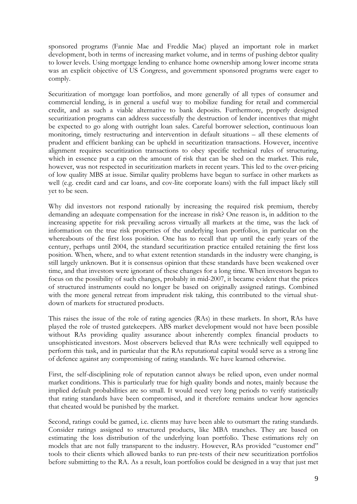sponsored programs (Fannie Mae and Freddie Mac) played an important role in market development, both in terms of increasing market volume, and in terms of pushing debtor quality to lower levels. Using mortgage lending to enhance home ownership among lower income strata was an explicit objective of US Congress, and government sponsored programs were eager to comply.

Securitization of mortgage loan portfolios, and more generally of all types of consumer and commercial lending, is in general a useful way to mobilize funding for retail and commercial credit, and as such a viable alternative to bank deposits. Furthermore, properly designed securitization programs can address successfully the destruction of lender incentives that might be expected to go along with outright loan sales. Careful borrower selection, continuous loan monitoring, timely restructuring and intervention in default situations – all these elements of prudent and efficient banking can be upheld in securitization transactions. However, incentive alignment requires securitization transactions to obey specific technical rules of structuring, which in essence put a cap on the amount of risk that can be shed on the market. This rule, however, was not respected in securitization markets in recent years. This led to the over-pricing of low quality MBS at issue. Similar quality problems have begun to surface in other markets as well (e.g. credit card and car loans, and cov-lite corporate loans) with the full impact likely still yet to be seen.

Why did investors not respond rationally by increasing the required risk premium, thereby demanding an adequate compensation for the increase in risk? One reason is, in addition to the increasing appetite for risk prevailing across virtually all markets at the time, was the lack of information on the true risk properties of the underlying loan portfolios, in particular on the whereabouts of the first loss position. One has to recall that up until the early years of the century, perhaps until 2004, the standard securitization practice entailed retaining the first loss position. When, where, and to what extent retention standards in the industry were changing, is still largely unknown. But it is consensus opinion that these standards have been weakened over time, and that investors were ignorant of these changes for a long time. When investors began to focus on the possibility of such changes, probably in mid-2007, it became evident that the prices of structured instruments could no longer be based on originally assigned ratings. Combined with the more general retreat from imprudent risk taking, this contributed to the virtual shutdown of markets for structured products.

This raises the issue of the role of rating agencies (RAs) in these markets. In short, RAs have played the role of trusted gatekeepers. ABS market development would not have been possible without RAs providing quality assurance about inherently complex financial products to unsophisticated investors. Most observers believed that RAs were technically well equipped to perform this task, and in particular that the RAs reputational capital would serve as a strong line of defence against any compromising of rating standards. We have learned otherwise.

First, the self-disciplining role of reputation cannot always be relied upon, even under normal market conditions. This is particularly true for high quality bonds and notes, mainly because the implied default probabilities are so small. It would need very long periods to verify statistically that rating standards have been compromised, and it therefore remains unclear how agencies that cheated would be punished by the market.

Second, ratings could be gamed, i.e. clients may have been able to outsmart the rating standards. Consider ratings assigned to structured products, like MBA tranches. They are based on estimating the loss distribution of the underlying loan portfolio. These estimations rely on models that are not fully transparent to the industry. However, RAs provided "customer end" tools to their clients which allowed banks to run pre-tests of their new securitization portfolios before submitting to the RA. As a result, loan portfolios could be designed in a way that just met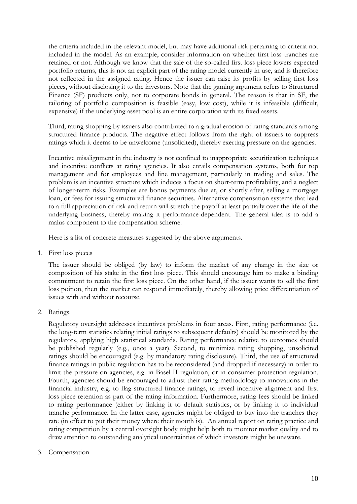the criteria included in the relevant model, but may have additional risk pertaining to criteria not included in the model. As an example, consider information on whether first loss tranches are retained or not. Although we know that the sale of the so-called first loss piece lowers expected portfolio returns, this is not an explicit part of the rating model currently in use, and is therefore not reflected in the assigned rating. Hence the issuer can raise its profits by selling first loss pieces, without disclosing it to the investors. Note that the gaming argument refers to Structured Finance (SF) products only, not to corporate bonds in general. The reason is that in SF, the tailoring of portfolio composition is feasible (easy, low cost), while it is infeasible (difficult, expensive) if the underlying asset pool is an entire corporation with its fixed assets.

Third, rating shopping by issuers also contributed to a gradual erosion of rating standards among structured finance products. The negative effect follows from the right of issuers to suppress ratings which it deems to be unwelcome (unsolicited), thereby exerting pressure on the agencies.

Incentive misalignment in the industry is not confined to inappropriate securitization techniques and incentive conflicts at rating agencies. It also entails compensation systems, both for top management and for employees and line management, particularly in trading and sales. The problem is an incentive structure which induces a focus on short-term profitability, and a neglect of longer-term risks. Examples are bonus payments due at, or shortly after, selling a mortgage loan, or fees for issuing structured finance securities. Alternative compensation systems that lead to a full appreciation of risk and return will stretch the payoff at least partially over the life of the underlying business, thereby making it performance-dependent. The general idea is to add a malus component to the compensation scheme.

Here is a list of concrete measures suggested by the above arguments.

1. First loss pieces

The issuer should be obliged (by law) to inform the market of any change in the size or composition of his stake in the first loss piece. This should encourage him to make a binding commitment to retain the first loss piece. On the other hand, if the issuer wants to sell the first loss poition, then the market can respond immediately, thereby allowing price differentiation of issues with and without recourse.

2. Ratings.

Regulatory oversight addresses incentives problems in four areas. First, rating performance (i.e. the long-term statistics relating initial ratings to subsequent defaults) should be monitored by the regulators, applying high statistical standards. Rating performance relative to outcomes should be published regularly (e.g., once a year). Second, to minimize rating shopping, unsolicited ratings should be encouraged (e.g. by mandatory rating disclosure). Third, the use of structured finance ratings in public regulation has to be reconsidered (and dropped if necessary) in order to limit the pressure on agencies, e.g. in Basel II regulation, or in consumer protection regulation. Fourth, agencies should be encouraged to adjust their rating methodology to innovations in the financial industry, e.g. to flag structured finance ratings, to reveal incentive alignment and first loss piece retention as part of the rating information. Furthermore, rating fees should be linked to rating performance (either by linking it to default statistics, or by linking it to individual tranche performance. In the latter case, agencies might be obliged to buy into the tranches they rate (in effect to put their money where their mouth is). An annual report on rating practice and rating competition by a central oversight body might help both to monitor market quality and to draw attention to outstanding analytical uncertainties of which investors might be unaware.

3. Compensation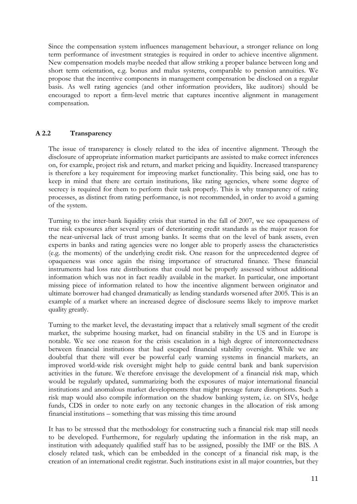Since the compensation system influences management behaviour, a stronger reliance on long term performance of investment strategies is required in order to achieve incentive alignment. New compensation models maybe needed that allow striking a proper balance between long and short term orientation, e.g. bonus and malus systems, comparable to pension annuities. We propose that the incentive components in management compensation be disclosed on a regular basis. As well rating agencies (and other information providers, like auditors) should be encouraged to report a firm-level metric that captures incentive alignment in management compensation.

#### **A 2.2 Transparency**

The issue of transparency is closely related to the idea of incentive alignment. Through the disclosure of appropriate information market participants are assisted to make correct inferences on, for example, project risk and return, and market pricing and liquidity. Increased transparency is therefore a key requirement for improving market functionality. This being said, one has to keep in mind that there are certain institutions, like rating agencies, where some degree of secrecy is required for them to perform their task properly. This is why transparency of rating processes, as distinct from rating performance, is not recommended, in order to avoid a gaming of the system.

Turning to the inter-bank liquidity crisis that started in the fall of 2007, we see opaqueness of true risk exposures after several years of deteriorating credit standards as the major reason for the near-universal lack of trust among banks. It seems that on the level of bank assets, even experts in banks and rating agencies were no longer able to properly assess the characteristics (e.g. the moments) of the underlying credit risk. One reason for the unprecedented degree of opaqueness was once again the rising importance of structured finance. These financial instruments had loss rate distributions that could not be properly assessed without additional information which was not in fact readily available in the market. In particular, one important missing piece of information related to how the incentive alignment between originator and ultimate borrower had changed dramatically as lending standards worsened after 2005. This is an example of a market where an increased degree of disclosure seems likely to improve market quality greatly.

Turning to the market level, the devastating impact that a relatively small segment of the credit market, the subprime housing market, had on financial stability in the US and in Europe is notable. We see one reason for the crisis escalation in a high degree of interconnectedness between financial institutions that had escaped financial stability oversight. While we are doubtful that there will ever be powerful early warning systems in financial markets, an improved world-wide risk oversight might help to guide central bank and bank supervision activities in the future. We therefore envisage the development of a financial risk map, which would be regularly updated, summarizing both the exposures of major international financial institutions and anomalous market developments that might presage future disruptions. Such a risk map would also compile information on the shadow banking system, i.e. on SIVs, hedge funds, CDS in order to note early on any tectonic changes in the allocation of risk among financial institutions – something that was missing this time around

It has to be stressed that the methodology for constructing such a financial risk map still needs to be developed. Furthermore, for regularly updating the information in the risk map, an institution with adequately qualified staff has to be assigned, possibly the IMF or the BIS. A closely related task, which can be embedded in the concept of a financial risk map, is the creation of an international credit registrar. Such institutions exist in all major countries, but they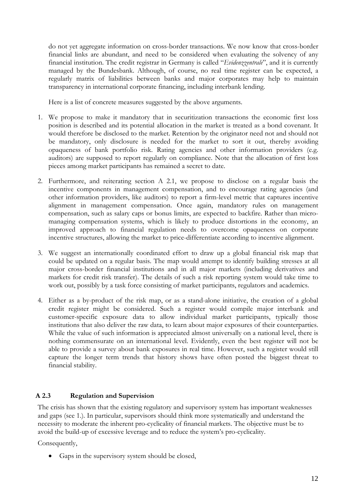do not yet aggregate information on cross-border transactions. We now know that cross-border financial links are abundant, and need to be considered when evaluating the solvency of any financial institution. The credit registrar in Germany is called "*Evidenzzentrale*", and it is currently managed by the Bundesbank. Although, of course, no real time register can be expected, a regularly matrix of liabilities between banks and major corporates may help to maintain transparency in international corporate financing, including interbank lending.

Here is a list of concrete measures suggested by the above arguments.

- 1. We propose to make it mandatory that in securitization transactions the economic first loss position is described and its potential allocation in the market is treated as a bond covenant. It would therefore be disclosed to the market. Retention by the originator need not and should not be mandatory, only disclosure is needed for the market to sort it out, thereby avoiding opaqueness of bank portfolio risk. Rating agencies and other information providers (e.g. auditors) are supposed to report regularly on compliance. Note that the allocation of first loss pieces among market participants has remained a secret to date.
- 2. Furthermore, and reiterating section A 2.1, we propose to disclose on a regular basis the incentive components in management compensation, and to encourage rating agencies (and other information providers, like auditors) to report a firm-level metric that captures incentive alignment in management compensation. Once again, mandatory rules on management compensation, such as salary caps or bonus limits, are expected to backfire. Rather than micromanaging compensation systems, which is likely to produce distortions in the economy, an improved approach to financial regulation needs to overcome opaqueness on corporate incentive structures, allowing the market to price-differentiate according to incentive alignment.
- 3. We suggest an internationally coordinated effort to draw up a global financial risk map that could be updated on a regular basis. The map would attempt to identify building stresses at all major cross-border financial institutions and in all major markets (including derivatives and markets for credit risk transfer). The details of such a risk reporting system would take time to work out, possibly by a task force consisting of market participants, regulators and academics.
- 4. Either as a by-product of the risk map, or as a stand-alone initiative, the creation of a global credit register might be considered. Such a register would compile major interbank and customer-specific exposure data to allow individual market participants, typically those institutions that also deliver the raw data, to learn about major exposures of their counterparties. While the value of such information is appreciated almost universally on a national level, there is nothing commensurate on an international level. Evidently, even the best register will not be able to provide a survey about bank exposures in real time. However, such a register would still capture the longer term trends that history shows have often posted the biggest threat to financial stability.

# **A 2.3 Regulation and Supervision**

The crisis has shown that the existing regulatory and supervisory system has important weaknesses and gaps (see 1.). In particular, supervisors should think more systematically and understand the necessity to moderate the inherent pro-cyclicality of financial markets. The objective must be to avoid the build-up of excessive leverage and to reduce the system's pro-cyclicality.

Consequently,

• Gaps in the supervisory system should be closed,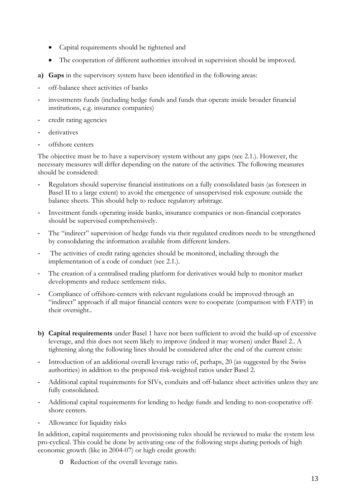- Capital requirements should be tightened and
- The cooperation of different authorities involved in supervision should be improved.
- **a) Gaps** in the supervisory system have been identified in the following areas:
- off-balance sheet activities of banks
- investments funds (including hedge funds and funds that operate inside broader financial institutions, e.g. insurance companies)
- credit rating agencies
- derivatives
- offshore centers

The objective must be to have a supervisory system without any gaps (see 2.1.). However, the necessary measures will differ depending on the nature of the activities. The following measures should be considered:

- Regulators should supervise financial institutions on a fully consolidated basis (as foreseen in Basel II to a large extent) to avoid the emergence of unsupervised risk exposure outside the balance sheets. This should help to reduce regulatory arbitrage.
- Investment funds operating inside banks, insurance companies or non-financial corporates should be supervised comprehensively.
- The "indirect" supervision of hedge funds via their regulated creditors needs to be strengthened by consolidating the information available from different lenders.
- The activities of credit rating agencies should be monitored, including through the implementation of a code of conduct (see 2.1.).
- The creation of a centralised trading platform for derivatives would help to monitor market developments and reduce settlement risks.
- Compliance of offshore-centers with relevant regulations could be improved through an "indirect" approach if all major financial centers were to cooperate (comparison with FATF) in their oversight..
- **b) Capital requirements** under Basel 1 have not been sufficient to avoid the build-up of excessive leverage, and this does not seem likely to improve (indeed it may worsen) under Basel 2.. A tightening along the following lines should be considered after the end of the current crisis:
- Introduction of an additional overall leverage ratio of, perhaps, 20 (as suggested by the Swiss authorities) in addition to the proposed risk-weighted ratios under Basel 2.
- Additional capital requirements for SIVs, conduits and off-balance sheet activities unless they are fully consolidated.
- Additional capital requirements for lending to hedge funds and lending to non-cooperative offshore centers.
- Allowance for liquidity risks

In addition, capital requirements and provisioning rules should be reviewed to make the system less pro-cyclical. This could be done by activating one of the following steps during periods of high economic growth (like in 2004-07) or high credit growth:

o Reduction of the overall leverage ratio.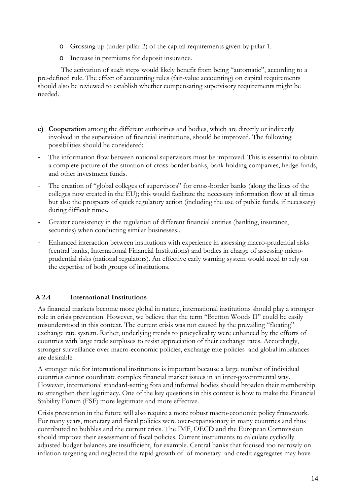- o Grossing up (under pillar 2) of the capital requirements given by pillar 1.
- o Increase in premiums for deposit insurance.

 The activation of su**c**h steps would likely benefit from being "automatic", according to a pre-defined rule. The effect of accounting rules (fair-value accounting) on capital requirements should also be reviewed to establish whether compensating supervisory requirements might be needed.

- **c) Cooperation** among the different authorities and bodies, which are directly or indirectly involved in the supervision of financial institutions, should be improved. The following possibilities should be considered:
- The information flow between national supervisors must be improved. This is essential to obtain a complete picture of the situation of cross-border banks, bank holding companies, hedge funds, and other investment funds.
- The creation of "global colleges of supervisors" for cross-border banks (along the lines of the colleges now created in the EU); this would facilitate the necessary information flow at all times but also the prospects of quick regulatory action (including the use of public funds, if necessary) during difficult times.
- Greater consistency in the regulation of different financial entities (banking, insurance, securities) when conducting similar businesses..
- Enhanced interaction between institutions with experience in assessing macro-prudential risks (central banks, International Financial Institutions) and bodies in charge of assessing microprudential risks (national regulators). An effective early warning system would need to rely on the expertise of both groups of institutions.

# **A 2.4 International Institutions**

As financial markets become more global in nature, international institutions should play a stronger role in crisis prevention. However, we believe that the term "Bretton Woods II" could be easily misunderstood in this context. The current crisis was not caused by the prevailing "floating" exchange rate system. Rather, underlying trends to procyclicality were enhanced by the efforts of countries with large trade surpluses to resist appreciation of their exchange rates. Accordingly, stronger surveillance over macro-economic policies, exchange rate policies and global imbalances are desirable.

A stronger role for international institutions is important because a large number of individual countries cannot coordinate complex financial market issues in an inter-governmental way. However, international standard-setting fora and informal bodies should broaden their membership to strengthen their legitimacy. One of the key questions in this context is how to make the Financial Stability Forum (FSF) more legitimate and more effective.

Crisis prevention in the future will also require a more robust macro-economic policy framework. For many years, monetary and fiscal policies were over-expansionary in many countries and thus contributed to bubbles and the current crisis. The IMF, OECD and the European Commission should improve their assessment of fiscal policies. Current instruments to calculate cyclically adjusted budget balances are insufficient, for example. Central banks that focused too narrowly on inflation targeting and neglected the rapid growth of of monetary and credit aggregates may have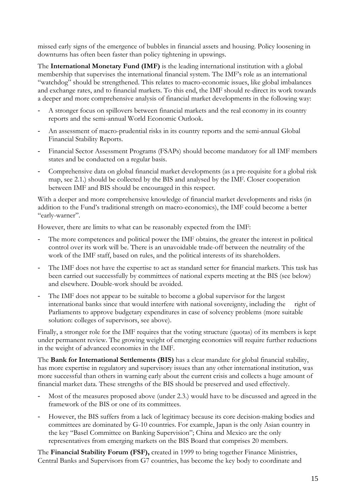missed early signs of the emergence of bubbles in financial assets and housing. Policy loosening in downturns has often been faster than policy tightening in upswings.

The **International Monetary Fund (IMF)** is the leading international institution with a global membership that supervises the international financial system. The IMF's role as an international "watchdog" should be strengthened. This relates to macro-economic issues, like global imbalances and exchange rates, and to financial markets. To this end, the IMF should re-direct its work towards a deeper and more comprehensive analysis of financial market developments in the following way:

- A stronger focus on spillovers between financial markets and the real economy in its country reports and the semi-annual World Economic Outlook.
- An assessment of macro-prudential risks in its country reports and the semi-annual Global Financial Stability Reports.
- Financial Sector Assessment Programs (FSAPs) should become mandatory for all IMF members states and be conducted on a regular basis.
- Comprehensive data on global financial market developments (as a pre-requisite for a global risk map, see 2.1.) should be collected by the BIS and analysed by the IMF*.* Closer cooperation between IMF and BIS should be encouraged in this respect.

With a deeper and more comprehensive knowledge of financial market developments and risks (in addition to the Fund's traditional strength on macro-economics), the IMF could become a better "early-warner".

However, there are limits to what can be reasonably expected from the IMF:

- The more competences and political power the IMF obtains, the greater the interest in political control over its work will be. There is an unavoidable trade-off between the neutrality of the work of the IMF staff, based on rules, and the political interests of its shareholders.
- The IMF does not have the expertise to act as standard setter for financial markets. This task has been carried out successfully by committees of national experts meeting at the BIS (see below) and elsewhere. Double-work should be avoided.
- The IMF does not appear to be suitable to become a global supervisor for the largest international banks since that would interfere with national sovereignty, including the right of Parliaments to approve budgetary expenditures in case of solvency problems (more suitable solution: colleges of supervisors, see above).

Finally, a stronger role for the IMF requires that the voting structure (quotas) of its members is kept under permanent review. The growing weight of emerging economies will require further reductions in the weight of advanced economies in the IMF.

The **Bank for International Settlements (BIS)** has a clear mandate for global financial stability, has more expertise in regulatory and supervisory issues than any other international institution, was more successful than others in warning early about the current crisis and collects a huge amount of financial market data. These strengths of the BIS should be preserved and used effectively.

- Most of the measures proposed above (under 2.3.) would have to be discussed and agreed in the framework of the BIS or one of its committees.
- However, the BIS suffers from a lack of legitimacy because its core decision-making bodies and committees are dominated by G-10 countries. For example, Japan is the only Asian country in the key "Basel Committee on Banking Supervision"; China and Mexico are the only representatives from emerging markets on the BIS Board that comprises 20 members.

The **Financial Stability Forum (FSF),** created in 1999 to bring together Finance Ministries, Central Banks and Supervisors from G7 countries, has become the key body to coordinate and